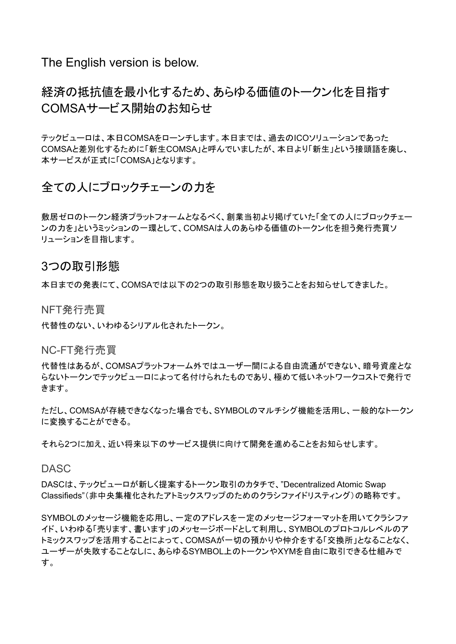The English version is below.

# 経済の抵抗値を最小化するため、あらゆる価値のトークン化を目指す COMSAサービス開始のお知らせ

テックビューロは、本日COMSAをローンチします。本日までは、過去のICOソリューションであった COMSAと差別化するために「新生COMSA」と呼んでいましたが、本日より「新生」という接頭語を廃し、 本サービスが正式に「COMSA」となります。

### 全ての人にブロックチェーンの力を

敷居ゼロのトークン経済プラットフォームとなるべく、創業当初より掲げていた「全ての人にブロックチェー ンの力を」というミッションの一環として、COMSAは人のあらゆる価値のトークン化を担う発行売買ソ リューションを目指します。

### 3つの取引形態

本日までの発表にて、COMSAでは以下の2つの取引形態を取り扱うことをお知らせしてきました。

NFT発行売買

代替性のない、いわゆるシリアル化されたトークン。

NC-FT発行売買

代替性はあるが、COMSAプラットフォーム外ではユーザー間による自由流通ができない、暗号資産とな らないトークンでテックビューロによって名付けられたものであり、極めて低いネットワークコストで発行で きます。

ただし、COMSAが存続できなくなった場合でも、SYMBOLのマルチシグ機能を活用し、一般的なトークン に変換することができる。

それら2つに加え、近い将来以下のサービス提供に向けて開発を進めることをお知らせします。

DASC

DASCは、テックビューロが新しく提案するトークン取引のカタチで、"Decentralized Atomic Swap Classifieds"(非中央集権化されたアトミックスワップのためのクラシファイドリスティング)の略称です。

SYMBOLのメッセージ機能を応用し、一定のアドレスを一定のメッセージフォーマットを用いてクラシファ イド、いわゆる「売ります、書います」のメッセージボードとして利用し、SYMBOLのプロトコルレベルのア トミックスワップを活用することによって、COMSAが一切の預かりや仲介をする「交換所」となることなく、 ユーザーが失敗することなしに、あらゆるSYMBOL上のトークンやXYMを自由に取引できる仕組みで す。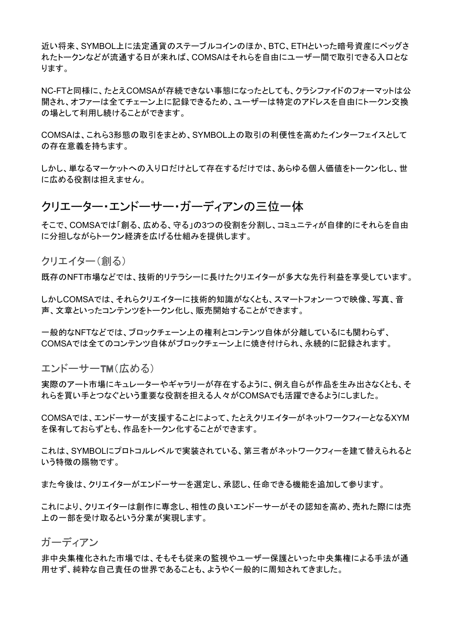近い将来、SYMBOL上に法定通貨のステーブルコインのほか、BTC、ETHといった暗号資産にペッグさ れたトークンなどが流通する日が来れば、COMSAはそれらを自由にユーザー間で取引できる入口とな ります。

NC-FTと同様に、たとえCOMSAが存続できない事態になったとしても、クラシファイドのフォーマットは公 開され、オファーは全てチェーン上に記録できるため、ユーザーは特定のアドレスを自由にトークン交換 の場として利用し続けることができます。

COMSAは、これら3形態の取引をまとめ、SYMBOL上の取引の利便性を高めたインターフェイスとして の存在意義を持ちます。

しかし、単なるマーケットへの入り口だけとして存在するだけでは、あらゆる個人価値をトークン化し、世 に広める役割は担えません。

### クリエーター・エンドーサー・ガーディアンの三位一体

そこで、COMSAでは「創る、広める、守る」の3つの役割を分割し、コミュニティが自律的にそれらを自由 に分担しながらトークン経済を広げる仕組みを提供します。

クリエイター(創る)

既存のNFT市場などでは、技術的リテラシーに長けたクリエイターが多大な先行利益を享受しています。

しかしCOMSAでは、それらクリエイターに技術的知識がなくとも、スマートフォン一つで映像、写真、音 声、文章といったコンテンツをトークン化し、販売開始することができます。

一般的なNFTなどでは、ブロックチェーン上の権利とコンテンツ自体が分離しているにも関わらず、 COMSAでは全てのコンテンツ自体がブロックチェーン上に焼き付けられ、永続的に記録されます。

エンドーサーTM (広める)

実際のアート市場にキュレーターやギャラリーが存在するように、例え自らが作品を生み出さなくとも、そ れらを買い手とつなぐという重要な役割を担える人々がCOMSAでも活躍できるようにしました。

COMSAでは、エンドーサーが支援することによって、たとえクリエイターがネットワークフィーとなるXYM を保有しておらずとも、作品をトークン化することができます。

これは、SYMBOLにプロトコルレベルで実装されている、第三者がネットワークフィーを建て替えられると いう特徴の賜物です。

また今後は、クリエイターがエンドーサーを選定し、承認し、任命できる機能を追加して参ります。

これにより、クリエイターは創作に専念し、相性の良いエンドーサーがその認知を高め、売れた際には売 上の一部を受け取るという分業が実現します。

ガーディアン

非中央集権化された市場では、そもそも従来の監視やユーザー保護といった中央集権による手法が通 用せず、純粋な自己責任の世界であることも、ようやく一般的に周知されてきました。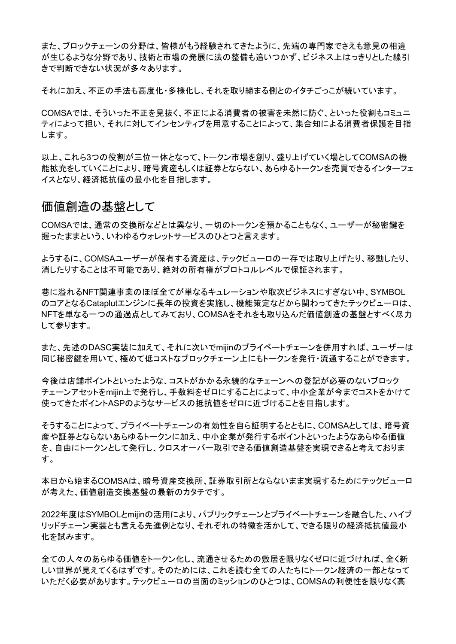また、ブロックチェーンの分野は、皆様がもう経験されてきたように、先端の専門家でさえも意見の相違 が生じるような分野であり、技術と市場の発展に法の整備も追いつかず、ビジネス上はっきりとした線引 きで判断できない状況が多々あります。

それに加え、不正の手法も高度化・多様化し、それを取り締まる側とのイタチごっこが続いています。

COMSAでは、そういった不正を見抜く、不正による消費者の被害を未然に防ぐ、といった役割もコミュニ ティによって担い、それに対してインセンティブを用意することによって、集合知による消費者保護を目指 します。

以上、これら3つの役割が三位一体となって、トークン市場を創り、盛り上げていく場としてCOMSAの機 能拡充をしていくことにより、暗号資産もしくは証券とならない、あらゆるトークンを売買できるインターフェ イスとなり、経済抵抗値の最小化を目指します。

#### 価値創造の基盤として

COMSAでは、通常の交換所などとは異なり、一切のトークンを預かることもなく、ユーザーが秘密鍵を 握ったままという、いわゆるウォレットサービスのひとつと言えます。

ようするに、COMSAユーザーが保有する資産は、テックビューロの一存では取り上げたり、移動したり、 消したりすることは不可能であり、絶対の所有権がプロトコルレベルで保証されます。

巷に溢れるNFT関連事業のほぼ全てが単なるキュレーションや取次ビジネスにすぎない中、SYMBOL のコアとなるCataplutエンジンに長年の投資を実施し、機能策定などから関わってきたテックビューロは、 NFTを単なる一つの通過点としてみており、COMSAをそれをも取り込んだ価値創造の基盤とすべく尽力 して参ります。

また、先述のDASC実装に加えて、それに次いでmijinのプライベートチェーンを併用すれば、ユーザーは 同じ秘密鍵を用いて、極めて低コストなブロックチェーン上にもトークンを発行・流通することができます。

今後は店舗ポイントといったような、コストがかかる永続的なチェーンへの登記が必要のないブロック チェーンアセットをmijin上で発行し、手数料をゼロにすることによって、中小企業が今までコストをかけて 使ってきたポイントASPのようなサービスの抵抗値をゼロに近づけることを目指します。

そうすることによって、プライベートチェーンの有効性を自ら証明するとともに、COMSAとしては、暗号資 産や証券とならないあらゆるトークンに加え、中小企業が発行するポイントといったようなあらゆる価値 を、自由にトークンとして発行し、クロスオーバー取引できる価値創造基盤を実現できると考えておりま す。

本日から始まるCOMSAは、暗号資産交換所、証券取引所とならないまま実現するためにテックビューロ が考えた、価値創造交換基盤の最新のカタチです。

2022年度はSYMBOLとmijinの活用により、パブリックチェーンとプライベートチェーンを融合した、ハイブ リッドチェーン実装とも言える先進例となり、それぞれの特徴を活かして、できる限りの経済抵抗値最小 化を試みます。

全ての人々のあらゆる価値をトークン化し、流通させるための敷居を限りなくゼロに近づければ、全く新 しい世界が見えてくるはずです。そのためには、これを読む全ての人たちにトークン経済の一部となって いただく必要があります。テックビューロの当面のミッションのひとつは、COMSAの利便性を限りなく高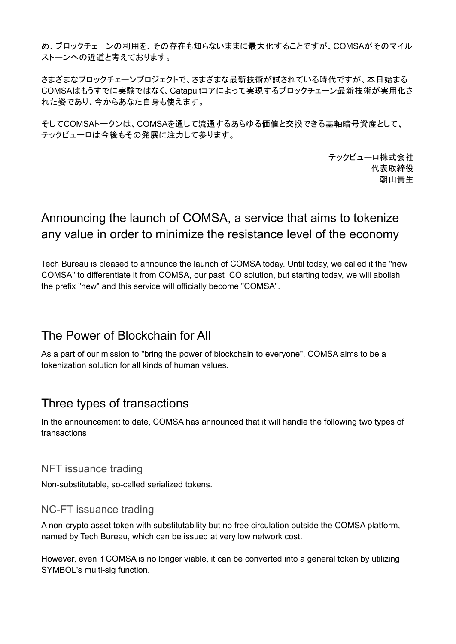め、ブロックチェーンの利用を、その存在も知らないままに最大化することですが、COMSAがそのマイル ストーンへの近道と考えております。

さまざまなブロックチェーンプロジェクトで、さまざまな最新技術が試されている時代ですが、本日始まる COMSAはもうすでに実験ではなく、Catapultコアによって実現するブロックチェーン最新技術が実用化さ れた姿であり、今からあなた自身も使えます。

そしてCOMSAトークンは、COMSAを通して流通するあらゆる価値と交換できる基軸暗号資産として、 テックビューロは今後もその発展に注力して参ります。

> テックビューロ株式会社 代表取締役 朝山貴生

# Announcing the launch of COMSA, a service that aims to tokenize any value in order to minimize the resistance level of the economy

Tech Bureau is pleased to announce the launch of COMSA today. Until today, we called it the "new COMSA" to differentiate it from COMSA, our past ICO solution, but starting today, we will abolish the prefix "new" and this service will officially become "COMSA".

# The Power of Blockchain for All

As a part of our mission to "bring the power of blockchain to everyone", COMSA aims to be a tokenization solution for all kinds of human values.

# Three types of transactions

In the announcement to date, COMSA has announced that it will handle the following two types of transactions

NFT issuance trading

Non-substitutable, so-called serialized tokens.

### NC-FT issuance trading

A non-crypto asset token with substitutability but no free circulation outside the COMSA platform, named by Tech Bureau, which can be issued at very low network cost.

However, even if COMSA is no longer viable, it can be converted into a general token by utilizing SYMBOL's multi-sig function.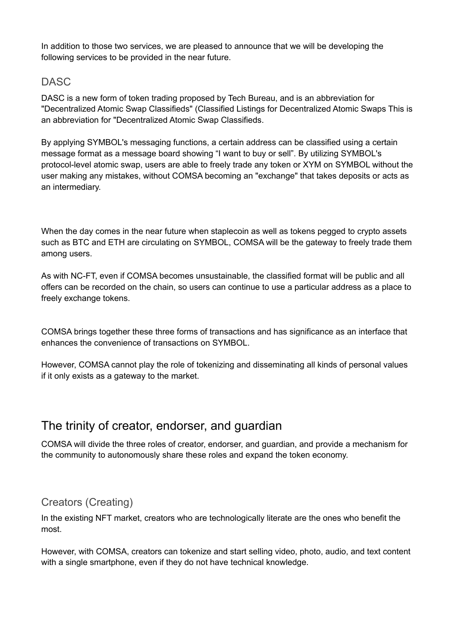In addition to those two services, we are pleased to announce that we will be developing the following services to be provided in the near future.

### DASC

DASC is a new form of token trading proposed by Tech Bureau, and is an abbreviation for "Decentralized Atomic Swap Classifieds" (Classified Listings for Decentralized Atomic Swaps This is an abbreviation for "Decentralized Atomic Swap Classifieds.

By applying SYMBOL's messaging functions, a certain address can be classified using a certain message format as a message board showing "I want to buy or sell". By utilizing SYMBOL's protocol-level atomic swap, users are able to freely trade any token or XYM on SYMBOL without the user making any mistakes, without COMSA becoming an "exchange" that takes deposits or acts as an intermediary.

When the day comes in the near future when staplecoin as well as tokens pegged to crypto assets such as BTC and ETH are circulating on SYMBOL, COMSA will be the gateway to freely trade them among users.

As with NC-FT, even if COMSA becomes unsustainable, the classified format will be public and all offers can be recorded on the chain, so users can continue to use a particular address as a place to freely exchange tokens.

COMSA brings together these three forms of transactions and has significance as an interface that enhances the convenience of transactions on SYMBOL.

However, COMSA cannot play the role of tokenizing and disseminating all kinds of personal values if it only exists as a gateway to the market.

# The trinity of creator, endorser, and guardian

COMSA will divide the three roles of creator, endorser, and guardian, and provide a mechanism for the community to autonomously share these roles and expand the token economy.

### Creators (Creating)

In the existing NFT market, creators who are technologically literate are the ones who benefit the most.

However, with COMSA, creators can tokenize and start selling video, photo, audio, and text content with a single smartphone, even if they do not have technical knowledge.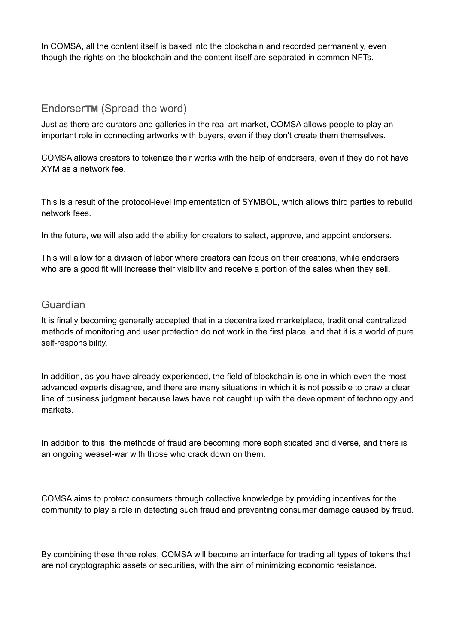In COMSA, all the content itself is baked into the blockchain and recorded permanently, even though the rights on the blockchain and the content itself are separated in common NFTs.

#### EndorserTM (Spread the word)

Just as there are curators and galleries in the real art market, COMSA allows people to play an important role in connecting artworks with buyers, even if they don't create them themselves.

COMSA allows creators to tokenize their works with the help of endorsers, even if they do not have XYM as a network fee.

This is a result of the protocol-level implementation of SYMBOL, which allows third parties to rebuild network fees.

In the future, we will also add the ability for creators to select, approve, and appoint endorsers.

This will allow for a division of labor where creators can focus on their creations, while endorsers who are a good fit will increase their visibility and receive a portion of the sales when they sell.

### Guardian

It is finally becoming generally accepted that in a decentralized marketplace, traditional centralized methods of monitoring and user protection do not work in the first place, and that it is a world of pure self-responsibility.

In addition, as you have already experienced, the field of blockchain is one in which even the most advanced experts disagree, and there are many situations in which it is not possible to draw a clear line of business judgment because laws have not caught up with the development of technology and markets.

In addition to this, the methods of fraud are becoming more sophisticated and diverse, and there is an ongoing weasel-war with those who crack down on them.

COMSA aims to protect consumers through collective knowledge by providing incentives for the community to play a role in detecting such fraud and preventing consumer damage caused by fraud.

By combining these three roles, COMSA will become an interface for trading all types of tokens that are not cryptographic assets or securities, with the aim of minimizing economic resistance.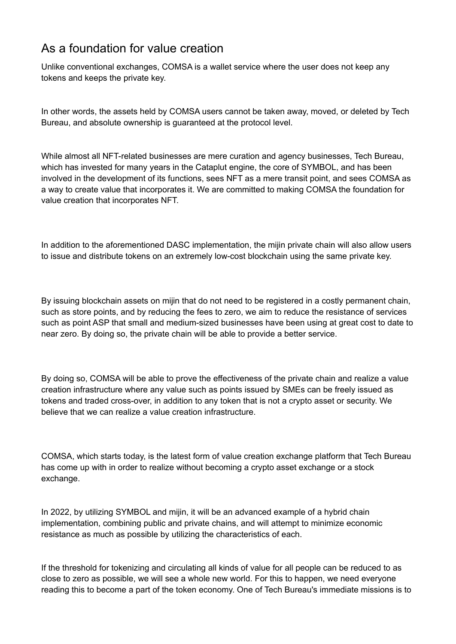# As a foundation for value creation

Unlike conventional exchanges, COMSA is a wallet service where the user does not keep any tokens and keeps the private key.

In other words, the assets held by COMSA users cannot be taken away, moved, or deleted by Tech Bureau, and absolute ownership is guaranteed at the protocol level.

While almost all NFT-related businesses are mere curation and agency businesses, Tech Bureau, which has invested for many years in the Cataplut engine, the core of SYMBOL, and has been involved in the development of its functions, sees NFT as a mere transit point, and sees COMSA as a way to create value that incorporates it. We are committed to making COMSA the foundation for value creation that incorporates NFT.

In addition to the aforementioned DASC implementation, the mijin private chain will also allow users to issue and distribute tokens on an extremely low-cost blockchain using the same private key.

By issuing blockchain assets on mijin that do not need to be registered in a costly permanent chain, such as store points, and by reducing the fees to zero, we aim to reduce the resistance of services such as point ASP that small and medium-sized businesses have been using at great cost to date to near zero. By doing so, the private chain will be able to provide a better service.

By doing so, COMSA will be able to prove the effectiveness of the private chain and realize a value creation infrastructure where any value such as points issued by SMEs can be freely issued as tokens and traded cross-over, in addition to any token that is not a crypto asset or security. We believe that we can realize a value creation infrastructure.

COMSA, which starts today, is the latest form of value creation exchange platform that Tech Bureau has come up with in order to realize without becoming a crypto asset exchange or a stock exchange.

In 2022, by utilizing SYMBOL and mijin, it will be an advanced example of a hybrid chain implementation, combining public and private chains, and will attempt to minimize economic resistance as much as possible by utilizing the characteristics of each.

If the threshold for tokenizing and circulating all kinds of value for all people can be reduced to as close to zero as possible, we will see a whole new world. For this to happen, we need everyone reading this to become a part of the token economy. One of Tech Bureau's immediate missions is to